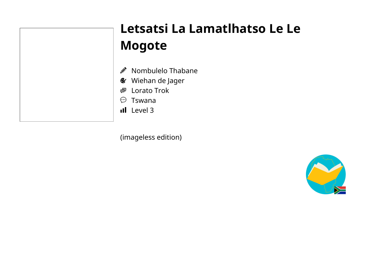

## Letsatsi La Lamatlhatso Le Le **Mogote**

Nombulelo Thabane Ø.

**&** Wiehan de Jager

Lorato Trok 粵

 $\circledcirc$  Tswana

**II** Level 3

(imageless edition)

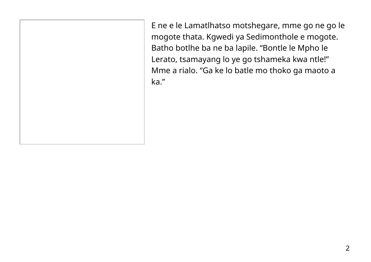E ne e le Lamatlhatso motshegare, mme go ne go le mogote thata. Kgwedi ya Sedimonthole e mogote. Batho botlhe ba ne ba lapile. "Bontle le Mpho le Lerato, tsamayang lo ye go tshameka kwa ntle!" Mme a rialo. "Ga ke lo batle mo thoko ga maoto a ka."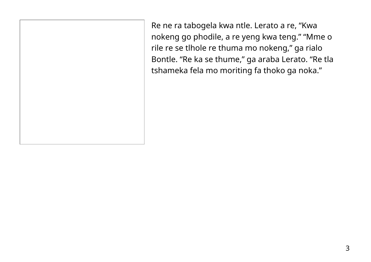Re ne ra tabogela kwa ntle. Lerato a re, "Kwa nokeng go phodile, a re yeng kwa teng." "Mme o rile re se tlhole re thuma mo nokeng," ga rialo Bontle. "Re ka se thume," ga araba Lerato. "Re tla tshameka fela mo moriting fa thoko ga noka."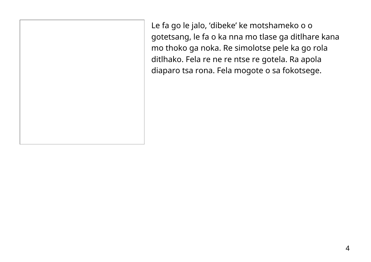Le fa go le jalo, 'dibeke' ke motshameko o o gotetsang, le fa o ka nna mo tlase ga ditlhare kana mo thoko ga noka. Re simolotse pele ka go rola ditlhako. Fela re ne re ntse re gotela. Ra apola diaparo tsa rona. Fela mogote o sa fokotsege.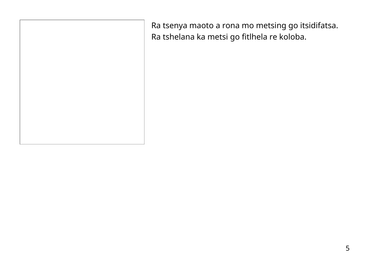Ra tsenya maoto a rona mo metsing go itsidifatsa. Ra tshelana ka metsi go fitlhela re koloba.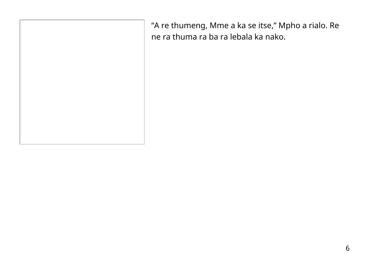"A re thumeng, Mme a ka se itse," Mpho a rialo. Re ne ra thuma ra ba ra lebala ka nako.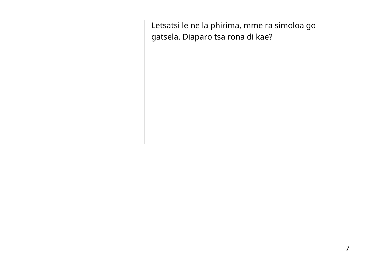Letsatsi le ne la phirima, mme ra simoloa go gatsela. Diaparo tsa rona di kae?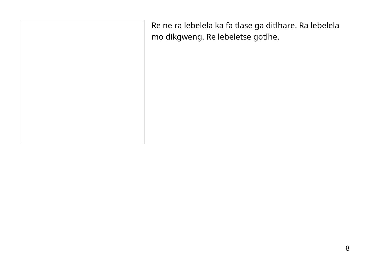Re ne ra lebelela ka fa tlase ga ditlhare. Ra lebelela mo dikgweng. Re lebeletse gotlhe.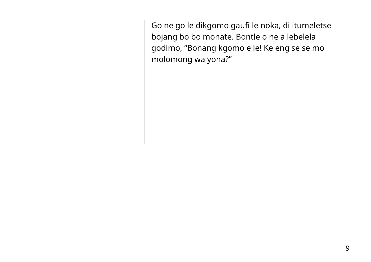Go ne go le dikgomo gaufi le noka, di itumeletse bojang bo bo monate. Bontle o ne a lebelela godimo, "Bonang kgomo e le! Ke eng se se mo molomong wa yona?"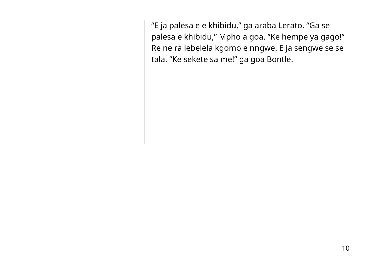"E ja palesa e e khibidu," ga araba Lerato. "Ga se palesa e khibidu," Mpho a goa. "Ke hempe ya gago!" Re ne ra lebelela kgomo e nngwe. E ja sengwe se se tala. "Ke sekete sa me!" ga goa Bontle.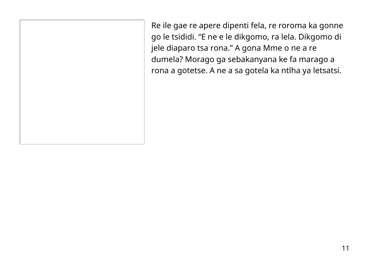Re ile gae re apere dipenti fela, re roroma ka gonne go le tsididi. "E ne e le dikgomo, ra lela. Dikgomo di jele diaparo tsa rona." A gona Mme o ne a re dumela? Morago ga sebakanyana ke fa marago a rona a gotetse. A ne a sa gotela ka ntlha ya letsatsi.